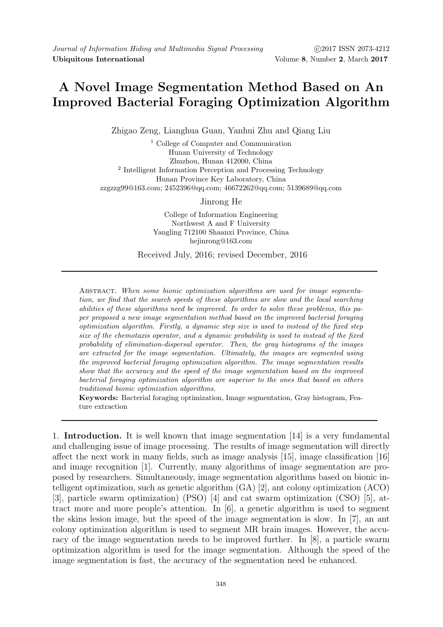## A Novel Image Segmentation Method Based on An Improved Bacterial Foraging Optimization Algorithm

Zhigao Zeng, Lianghua Guan, Yanhui Zhu and Qiang Liu

<sup>1</sup> College of Computer and Communication Hunan University of Technology Zhuzhou, Hunan 412000, China 2 Intelligent Information Perception and Processing Technology Hunan Province Key Laboratory, China zzgzzg99@163.com; 2452396@qq.com; 46672262@qq.com; 5139689@qq.com

Jinrong He

College of Information Engineering Northwest A and F University Yangling 712100 Shaanxi Province, China hejinrong@163.com

Received July, 2016; revised December, 2016

ABSTRACT. When some bionic optimization algorithms are used for image segmentation, we find that the search speeds of these algorithms are slow and the local searching abilities of these algorithms need be improved. In order to solve these problems, this paper proposed a new image segmentation method based on the improved bacterial foraging optimization algorithm. Firstly, a dynamic step size is used to instead of the fixed step size of the chemotaxis operator, and a dynamic probability is used to instead of the fixed probability of elimination-dispersal operator. Then, the gray histograms of the images are extracted for the image segmentation. Ultimately, the images are segmented using the improved bacterial foraging optimization algorithm. The image segmentation results show that the accuracy and the speed of the image segmentation based on the improved bacterial foraging optimization algorithm are superior to the ones that based on others traditional bionic optimization algorithms.

Keywords: Bacterial foraging optimization, Image segmentation, Gray histogram, Feature extraction

1. Introduction. It is well known that image segmentation [14] is a very fundamental and challenging issue of image processing. The results of image segmentation will directly affect the next work in many fields, such as image analysis [15], image classification [16] and image recognition [1]. Currently, many algorithms of image segmentation are proposed by researchers. Simultaneously, image segmentation algorithms based on bionic intelligent optimization, such as genetic algorithm (GA) [2], ant colony optimization (ACO) [3], particle swarm optimization) (PSO) [4] and cat swarm optimization (CSO) [5], attract more and more people's attention. In [6], a genetic algorithm is used to segment the skins lesion image, but the speed of the image segmentation is slow. In [7], an ant colony optimization algorithm is used to segment MR brain images. However, the accuracy of the image segmentation needs to be improved further. In [8], a particle swarm optimization algorithm is used for the image segmentation. Although the speed of the image segmentation is fast, the accuracy of the segmentation need be enhanced.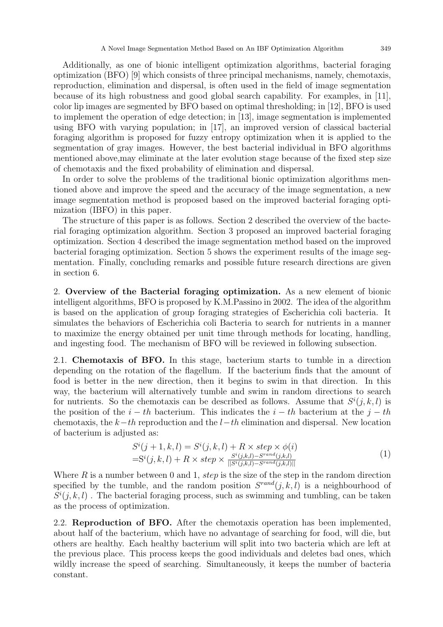Additionally, as one of bionic intelligent optimization algorithms, bacterial foraging optimization (BFO) [9] which consists of three principal mechanisms, namely, chemotaxis, reproduction, elimination and dispersal, is often used in the field of image segmentation because of its high robustness and good global search capability. For examples, in [11], color lip images are segmented by BFO based on optimal thresholding; in [12], BFO is used to implement the operation of edge detection; in [13], image segmentation is implemented using BFO with varying population; in [17], an improved version of classical bacterial foraging algorithm is proposed for fuzzy entropy optimization when it is applied to the segmentation of gray images. However, the best bacterial individual in BFO algorithms mentioned above,may eliminate at the later evolution stage because of the fixed step size of chemotaxis and the fixed probability of elimination and dispersal.

In order to solve the problems of the traditional bionic optimization algorithms mentioned above and improve the speed and the accuracy of the image segmentation, a new image segmentation method is proposed based on the improved bacterial foraging optimization (IBFO) in this paper.

The structure of this paper is as follows. Section 2 described the overview of the bacterial foraging optimization algorithm. Section 3 proposed an improved bacterial foraging optimization. Section 4 described the image segmentation method based on the improved bacterial foraging optimization. Section 5 shows the experiment results of the image segmentation. Finally, concluding remarks and possible future research directions are given in section 6.

2. Overview of the Bacterial foraging optimization. As a new element of bionic intelligent algorithms, BFO is proposed by K.M.Passino in 2002. The idea of the algorithm is based on the application of group foraging strategies of Escherichia coli bacteria. It simulates the behaviors of Escherichia coli Bacteria to search for nutrients in a manner to maximize the energy obtained per unit time through methods for locating, handling, and ingesting food. The mechanism of BFO will be reviewed in following subsection.

2.1. Chemotaxis of BFO. In this stage, bacterium starts to tumble in a direction depending on the rotation of the flagellum. If the bacterium finds that the amount of food is better in the new direction, then it begins to swim in that direction. In this way, the bacterium will alternatively tumble and swim in random directions to search for nutrients. So the chemotaxis can be described as follows. Assume that  $S^{i}(j, k, l)$  is the position of the  $i - th$  bacterium. This indicates the  $i - th$  bacterium at the  $j - th$ chemotaxis, the  $k-th$  reproduction and the  $l-th$  elimination and dispersal. New location of bacterium is adjusted as:

$$
S^{i}(j+1,k,l) = S^{i}(j,k,l) + R \times step \times \phi(i)
$$
  
= 
$$
S^{i}(j,k,l) + R \times step \times \frac{S^{i}(j,k,l) - S^{rand}(j,k,l)}{|S^{i}(j,k,l) - S^{rand}(j,k,l)|}
$$
 (1)

Where R is a number between 0 and 1, step is the size of the step in the random direction specified by the tumble, and the random position  $S^{rand}(j, k, l)$  is a neighbourhood of  $S^{i}(j, k, l)$ . The bacterial foraging process, such as swimming and tumbling, can be taken as the process of optimization.

2.2. Reproduction of BFO. After the chemotaxis operation has been implemented, about half of the bacterium, which have no advantage of searching for food, will die, but others are healthy. Each healthy bacterium will split into two bacteria which are left at the previous place. This process keeps the good individuals and deletes bad ones, which wildly increase the speed of searching. Simultaneously, it keeps the number of bacteria constant.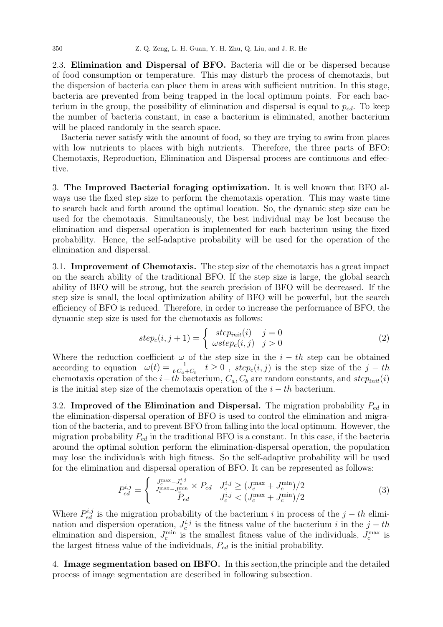2.3. Elimination and Dispersal of BFO. Bacteria will die or be dispersed because of food consumption or temperature. This may disturb the process of chemotaxis, but the dispersion of bacteria can place them in areas with sufficient nutrition. In this stage, bacteria are prevented from being trapped in the local optimum points. For each bacterium in the group, the possibility of elimination and dispersal is equal to  $p_{ed}$ . To keep the number of bacteria constant, in case a bacterium is eliminated, another bacterium will be placed randomly in the search space.

Bacteria never satisfy with the amount of food, so they are trying to swim from places with low nutrients to places with high nutrients. Therefore, the three parts of BFO: Chemotaxis, Reproduction, Elimination and Dispersal process are continuous and effective.

3. The Improved Bacterial foraging optimization. It is well known that BFO always use the fixed step size to perform the chemotaxis operation. This may waste time to search back and forth around the optimal location. So, the dynamic step size can be used for the chemotaxis. Simultaneously, the best individual may be lost because the elimination and dispersal operation is implemented for each bacterium using the fixed probability. Hence, the self-adaptive probability will be used for the operation of the elimination and dispersal.

3.1. Improvement of Chemotaxis. The step size of the chemotaxis has a great impact on the search ability of the traditional BFO. If the step size is large, the global search ability of BFO will be strong, but the search precision of BFO will be decreased. If the step size is small, the local optimization ability of BFO will be powerful, but the search efficiency of BFO is reduced. Therefore, in order to increase the performance of BFO, the dynamic step size is used for the chemotaxis as follows:

$$
step_c(i, j+1) = \begin{cases} step_{init}(i) & j = 0\\ wstep_c(i, j) & j > 0 \end{cases}
$$
\n(2)

Where the reduction coefficient  $\omega$  of the step size in the  $i - th$  step can be obtained according to equation  $\omega(t) = \frac{1}{t \cdot C_a + C_b}$   $t \ge 0$ ,  $step_c(i, j)$  is the step size of the  $j - th$ chemotaxis operation of the  $i-th$  bacterium,  $C_a$ ,  $C_b$  are random constants, and  $step_{init}(i)$ is the initial step size of the chemotaxis operation of the  $i - th$  bacterium.

3.2. Improved of the Elimination and Dispersal. The migration probability  $P_{ed}$  in the elimination-dispersal operation of BFO is used to control the elimination and migration of the bacteria, and to prevent BFO from falling into the local optimum. However, the migration probability  $P_{ed}$  in the traditional BFO is a constant. In this case, if the bacteria around the optimal solution perform the elimination-dispersal operation, the population may lose the individuals with high fitness. So the self-adaptive probability will be used for the elimination and dispersal operation of BFO. It can be represented as follows:

$$
P_{ed}^{i,j} = \begin{cases} \frac{J_c^{\max} - J_c^{i,j}}{J_c^{\max} - J_c^{\min}} \times P_{ed} & J_c^{i,j} \ge (J_c^{\max} + J_c^{\min})/2\\ P_{ed} & J_c^{i,j} < (J_c^{\max} + J_c^{\min})/2 \end{cases}
$$
(3)

Where  $P_{ed}^{i,j}$  is the migration probability of the bacterium i in process of the  $j-th$  elimination and dispersion operation,  $J_c^{i,j}$  is the fitness value of the bacterium i in the  $j-th$ elimination and dispersion,  $J_c^{\min}$  is the smallest fitness value of the individuals,  $J_c^{\max}$  is the largest fitness value of the individuals,  $P_{ed}$  is the initial probability.

4. Image segmentation based on IBFO. In this section,the principle and the detailed process of image segmentation are described in following subsection.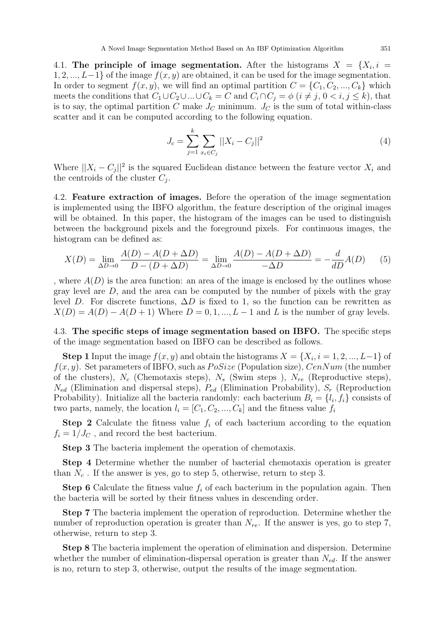4.1. The principle of image segmentation. After the histograms  $X = \{X_i, i =$  $1, 2, ..., L-1$  of the image  $f(x, y)$  are obtained, it can be used for the image segmentation. In order to segment  $f(x, y)$ , we will find an optimal partition  $C = \{C_1, C_2, ..., C_k\}$  which meets the conditions that  $C_1 \cup C_2 \cup ... \cup C_k = C$  and  $C_i \cap C_j = \phi$   $(i \neq j, 0 < i, j \leq k)$ , that is to say, the optimal partition C make  $J_C$  minimum.  $J_C$  is the sum of total within-class scatter and it can be computed according to the following equation.

$$
J_c = \sum_{j=1}^{k} \sum_{x_i \in C_j} ||X_i - C_j||^2
$$
\n(4)

Where  $||X_i - C_j||^2$  is the squared Euclidean distance between the feature vector  $X_i$  and the centroids of the cluster  $C_j$ .

4.2. Feature extraction of images. Before the operation of the image segmentation is implemented using the IBFO algorithm, the feature description of the original images will be obtained. In this paper, the histogram of the images can be used to distinguish between the background pixels and the foreground pixels. For continuous images, the histogram can be defined as:

$$
X(D) = \lim_{\Delta D \to 0} \frac{A(D) - A(D + \Delta D)}{D - (D + \Delta D)} = \lim_{\Delta D \to 0} \frac{A(D) - A(D + \Delta D)}{-\Delta D} = -\frac{d}{dD}A(D)
$$
(5)

, where  $A(D)$  is the area function: an area of the image is enclosed by the outlines whose gray level are D, and the area can be computed by the number of pixels with the gray level D. For discrete functions,  $\Delta D$  is fixed to 1, so the function can be rewritten as  $X(D) = A(D) - A(D+1)$  Where  $D = 0, 1, ..., L-1$  and L is the number of gray levels.

4.3. The specific steps of image segmentation based on IBFO. The specific steps of the image segmentation based on IBFO can be described as follows.

**Step 1** Input the image  $f(x, y)$  and obtain the histograms  $X = \{X_i, i = 1, 2, ..., L-1\}$  of  $f(x, y)$ . Set parameters of IBFO, such as  $PoSize$  (Population size),  $CenNum$  (the number of the clusters),  $N_c$  (Chemotaxis steps),  $N_s$  (Swim steps),  $N_{re}$  (Reproductive steps),  $N_{ed}$  (Elimination and dispersal steps),  $P_{ed}$  (Elimination Probability),  $S_r$  (Reproduction Probability). Initialize all the bacteria randomly: each bacterium  $B_i = \{l_i, f_i\}$  consists of two parts, namely, the location  $l_i = [C_1, C_2, ..., C_k]$  and the fitness value  $f_i$ 

**Step 2** Calculate the fitness value  $f_i$  of each bacterium according to the equation  $f_i = 1/J_C$ , and record the best bacterium.

Step 3 The bacteria implement the operation of chemotaxis.

Step 4 Determine whether the number of bacterial chemotaxis operation is greater than  $N_c$ . If the answer is yes, go to step 5, otherwise, return to step 3.

**Step 6** Calculate the fitness value  $f_i$  of each bacterium in the population again. Then the bacteria will be sorted by their fitness values in descending order.

Step 7 The bacteria implement the operation of reproduction. Determine whether the number of reproduction operation is greater than  $N_{re}$ . If the answer is yes, go to step 7, otherwise, return to step 3.

Step 8 The bacteria implement the operation of elimination and dispersion. Determine whether the number of elimination-dispersal operation is greater than  $N_{ed}$ . If the answer is no, return to step 3, otherwise, output the results of the image segmentation.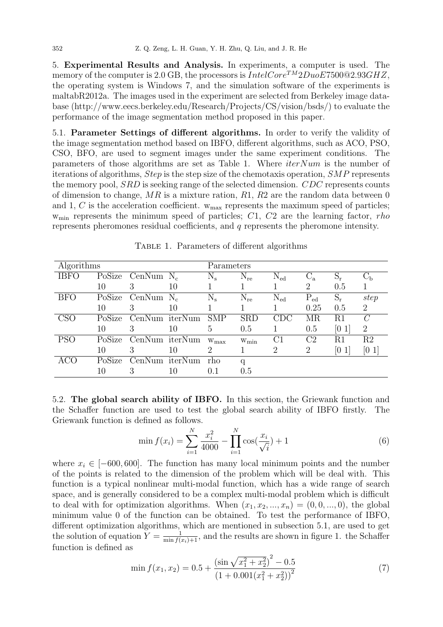5. Experimental Results and Analysis. In experiments, a computer is used. The memory of the computer is 2.0 GB, the processors is  $IntelCore^{TM}2DuoE7500@2.93GHZ$ , the operating system is Windows 7, and the simulation software of the experiments is maltabR2012a. The images used in the experiment are selected from Berkeley image database (http://www.eecs.berkeley.edu/Research/Projects/CS/vision/bsds/) to evaluate the performance of the image segmentation method proposed in this paper.

5.1. Parameter Settings of different algorithms. In order to verify the validity of the image segmentation method based on IBFO, different algorithms, such as ACO, PSO, CSO, BFO, are used to segment images under the same experiment conditions. The parameters of those algorithms are set as Table 1. Where  $iterNum$  is the number of iterations of algorithms, Step is the step size of the chemotaxis operation, SMP represents the memory pool, SRD is seeking range of the selected dimension. CDC represents counts of dimension to change,  $MR$  is a mixture ration,  $R1$ ,  $R2$  are the random data between 0 and 1, C is the acceleration coefficient.  $w_{\text{max}}$  represents the maximum speed of particles;  $w_{\text{min}}$  represents the minimum speed of particles; C1, C2 are the learning factor, rho represents pheromones residual coefficients, and q represents the pheromone intensity.

| Algorithms |        |                     |                | Parameters                  |                  |              |                |          |                |
|------------|--------|---------------------|----------------|-----------------------------|------------------|--------------|----------------|----------|----------------|
| IBFO       |        | PoSize CenNum $N_c$ |                | $\rm N_s$                   | $N_{\rm re}$     | $N_{\rm ed}$ | $C_{\rm a}$    | $S_r$    | $C_{\rm b}$    |
|            | 10     | 3                   | 10             |                             |                  |              | $\overline{2}$ | 0.5      |                |
| <b>BFO</b> | PoSize | CenNum $N_c$        |                | $N_{\rm s}$                 | $N_{\rm re}$     | $N_{\rm ed}$ | $P_{ed}$       | $S_r$    | step           |
|            | 10     | 3                   | 10             |                             |                  |              | 0.25           | 0.5      | $\overline{2}$ |
| CSO        | PoSize |                     | CenNum iterNum | <b>SMP</b>                  | <b>SRD</b>       | CDC          | MR             | R1       | $\mathcal C$   |
|            | 10     | 3                   | 10             | 5                           | 0.5              |              | 0.5            | [0]      | 2              |
| <b>PSO</b> | PoSize |                     | CenNum iterNum | $W_{\text{max}}$            | $W_{\text{min}}$ | C1           | C <sub>2</sub> | R1       | R <sub>2</sub> |
|            | 10     | 3                   | 10             | $\mathcal{D}_{\mathcal{L}}$ |                  | 2            | 2              | $[0\;1]$ | $[0\;1]$       |
| ACO        | PoSize |                     | CenNum iterNum | rho.                        | q                |              |                |          |                |
|            | 10     | 3                   | 10             | 0.1                         | 0.5              |              |                |          |                |

Table 1. Parameters of different algorithms

5.2. The global search ability of IBFO. In this section, the Griewank function and the Schaffer function are used to test the global search ability of IBFO firstly. The Griewank function is defined as follows.

$$
\min f(x_i) = \sum_{i=1}^{N} \frac{x_i^2}{4000} - \prod_{i=1}^{N} \cos(\frac{x_i}{\sqrt{i}}) + 1
$$
\n(6)

where  $x_i \in [-600, 600]$ . The function has many local minimum points and the number of the points is related to the dimension of the problem which will be deal with. This function is a typical nonlinear multi-modal function, which has a wide range of search space, and is generally considered to be a complex multi-modal problem which is difficult to deal with for optimization algorithms. When  $(x_1, x_2, ..., x_n) = (0, 0, ..., 0)$ , the global minimum value 0 of the function can be obtained. To test the performance of IBFO, different optimization algorithms, which are mentioned in subsection 5.1, are used to get the solution of equation  $Y = \frac{1}{\min f(x_i)+1}$ , and the results are shown in figure 1. the Schaffer function is defined as

$$
\min f(x_1, x_2) = 0.5 + \frac{\left(\sin\sqrt{x_1^2 + x_2^2}\right)^2 - 0.5}{\left(1 + 0.001\left(x_1^2 + x_2^2\right)\right)^2} \tag{7}
$$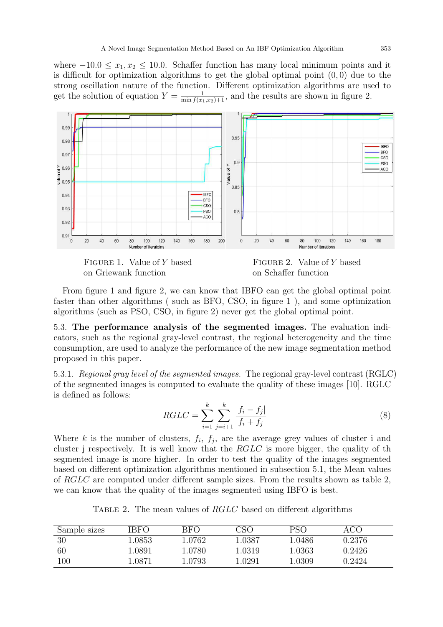where  $-10.0 \le x_1, x_2 \le 10.0$ . Schaffer function has many local minimum points and it is difficult for optimization algorithms to get the global optimal point  $(0, 0)$  due to the strong oscillation nature of the function. Different optimization algorithms are used to get the solution of equation  $Y = \frac{1}{\min f(x_1, x_2)+1}$ , and the results are shown in figure 2.





FIGURE 2. Value of Y based on Schaffer function

From figure 1 and figure 2, we can know that IBFO can get the global optimal point faster than other algorithms ( such as BFO, CSO, in figure 1 ), and some optimization algorithms (such as PSO, CSO, in figure 2) never get the global optimal point.

5.3. The performance analysis of the segmented images. The evaluation indicators, such as the regional gray-level contrast, the regional heterogeneity and the time consumption, are used to analyze the performance of the new image segmentation method proposed in this paper.

5.3.1. Regional gray level of the segmented images. The regional gray-level contrast (RGLC) of the segmented images is computed to evaluate the quality of these images [10]. RGLC is defined as follows:

$$
RGLC = \sum_{i=1}^{k} \sum_{j=i+1}^{k} \frac{|f_i - f_j|}{f_i + f_j}
$$
\n(8)

Where k is the number of clusters,  $f_i$ ,  $f_j$ , are the average grey values of cluster i and cluster j respectively. It is well know that the  $RGLC$  is more bigger, the quality of the segmented image is more higher. In order to test the quality of the images segmented based on different optimization algorithms mentioned in subsection 5.1, the Mean values of RGLC are computed under different sample sizes. From the results shown as table 2, we can know that the quality of the images segmented using IBFO is best.

TABLE 2. The mean values of RGLC based on different algorithms

| Sample sizes | 'BFO   | BFO    | $\overline{S}$           | PSC    |        |
|--------------|--------|--------|--------------------------|--------|--------|
| 30           | 1.0853 | 1.0762 | $\scriptstyle\ldots0387$ | 1.0486 | 0.2376 |
| 60           | .0891  | l.0780 | .0319                    | 1.0363 | 0.2426 |
| $100\,$      | 0871   | .0793  | .0291                    | L.0309 | 0.2424 |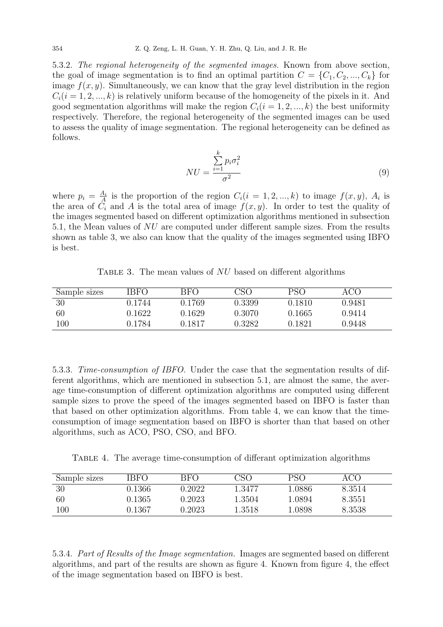5.3.2. The regional heterogeneity of the segmented images. Known from above section, the goal of image segmentation is to find an optimal partition  $C = \{C_1, C_2, ..., C_k\}$  for image  $f(x, y)$ . Simultaneously, we can know that the gray level distribution in the region  $C_i(i = 1, 2, ..., k)$  is relatively uniform because of the homogeneity of the pixels in it. And good segmentation algorithms will make the region  $C_i(i = 1, 2, ..., k)$  the best uniformity respectively. Therefore, the regional heterogeneity of the segmented images can be used to assess the quality of image segmentation. The regional heterogeneity can be defined as follows.

$$
NU = \frac{\sum_{i=1}^{k} p_i \sigma_i^2}{\sigma^2}
$$
\n(9)

where  $p_i = \frac{A_i}{A}$  $\frac{A_i}{A}$  is the proportion of the region  $C_i(i = 1, 2, ..., k)$  to image  $f(x, y)$ ,  $A_i$  is the area of  $C_i$  and A is the total area of image  $f(x, y)$ . In order to test the quality of the images segmented based on different optimization algorithms mentioned in subsection 5.1, the Mean values of NU are computed under different sample sizes. From the results shown as table 3, we also can know that the quality of the images segmented using IBFO is best.

TABLE 3. The mean values of  $NU$  based on different algorithms

| Sample sizes | 'BFO   | BFO          | CSO    | PSO    | ACO    |
|--------------|--------|--------------|--------|--------|--------|
| 30           | 0.1744 | 0.1769       | 0.3399 | 0.1810 | 0.9481 |
| 60           | 0.1622 | $\,0.1629\,$ | 0.3070 | 0.1665 | 0.9414 |
| $100\,$      | 0.1784 | მ. 1817      | 0.3282 | 0.1821 | 0.9448 |

5.3.3. Time-consumption of IBFO. Under the case that the segmentation results of different algorithms, which are mentioned in subsection 5.1, are almost the same, the average time-consumption of different optimization algorithms are computed using different sample sizes to prove the speed of the images segmented based on IBFO is faster than that based on other optimization algorithms. From table 4, we can know that the timeconsumption of image segmentation based on IBFO is shorter than that based on other algorithms, such as ACO, PSO, CSO, and BFO.

Table 4. The average time-consumption of differant optimization algorithms

| Sample sizes | 'BFO         | BFO    | 7SC    | PSC   |        |
|--------------|--------------|--------|--------|-------|--------|
| 30           | 0.1366       | .2022  | 1.3477 | .0886 | 8.3514 |
| 60           | $\,0.1365\,$ | 1.2023 | 1.3504 | .0894 | 8.3551 |
| 100          | 0.1367       | 1.2023 | 1.3518 | .0898 | 8.3538 |

5.3.4. Part of Results of the Image segmentation. Images are segmented based on different algorithms, and part of the results are shown as figure 4. Known from figure 4, the effect of the image segmentation based on IBFO is best.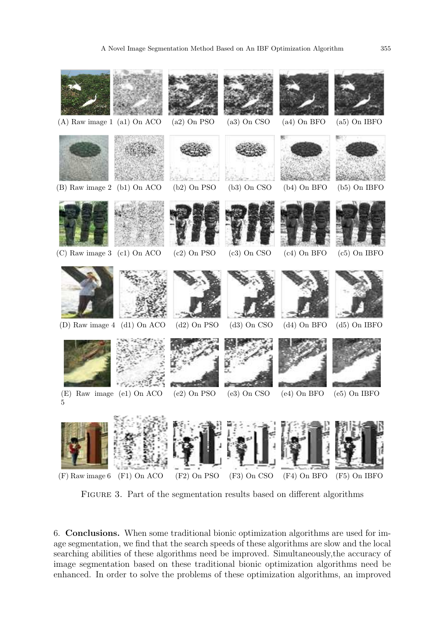

Figure 3. Part of the segmentation results based on different algorithms

6. Conclusions. When some traditional bionic optimization algorithms are used for image segmentation, we find that the search speeds of these algorithms are slow and the local searching abilities of these algorithms need be improved. Simultaneously,the accuracy of image segmentation based on these traditional bionic optimization algorithms need be enhanced. In order to solve the problems of these optimization algorithms, an improved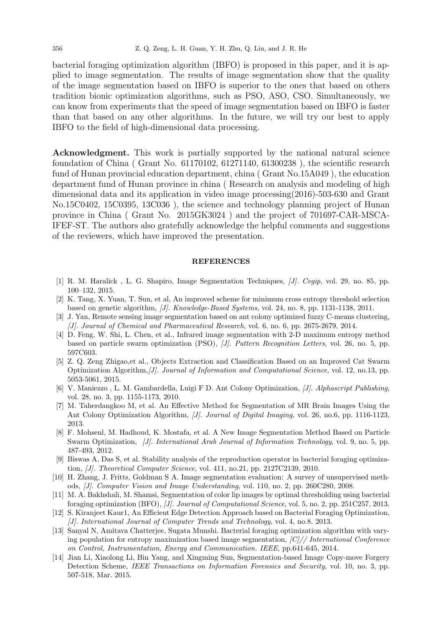bacterial foraging optimization algorithm (IBFO) is proposed in this paper, and it is applied to image segmentation. The results of image segmentation show that the quality of the image segmentation based on IBFO is superior to the ones that based on others tradition bionic optimization algorithms, such as PSO, ASO, CSO. Simultaneously, we can know from experiments that the speed of image segmentation based on IBFO is faster than that based on any other algorithms. In the future, we will try our best to apply IBFO to the field of high-dimensional data processing.

Acknowledgment. This work is partially supported by the national natural science foundation of China ( Grant No. 61170102, 61271140, 61300238 ), the scientific research fund of Hunan provincial education department, china ( Grant No.15A049 ), the education department fund of Hunan province in china ( Research on analysis and modeling of high dimensional data and its application in video image processing(2016)-503-630 and Grant No.15C0402, 15C0395, 13C036 ), the science and technology planning project of Hunan province in China ( Grant No. 2015GK3024 ) and the project of 701697-CAR-MSCA-IFEF-ST. The authors also gratefully acknowledge the helpful comments and suggestions of the reviewers, which have improved the presentation.

## **REFERENCES**

- [1] R. M. Haralick , L. G. Shapiro, Image Segmentation Techniques, [J]. Cvgip, vol. 29, no. 85, pp. 100–132, 2015.
- [2] K. Tang, X. Yuan, T. Sun, et al, An improved scheme for minimum cross entropy threshold selection based on genetic algorithm, [J]. Knowledge-Based Systems, vol. 24, no. 8, pp. 1131-1138, 2011.
- [3] J. Yan, Remote sensing image segmentation based on ant colony optimized fuzzy C-means clustering, [J]. Journal of Chemical and Pharmaceutical Research, vol. 6, no. 6, pp. 2675-2679, 2014.
- [4] D. Feng, W. Shi, L. Chen, et al., Infrared image segmentation with 2-D maximum entropy method based on particle swarm optimization (PSO), [J]. Pattern Recognition Letters, vol. 26, no. 5, pp. 597C603.
- [5] Z. Q. Zeng Zhigao,et al., Objects Extraction and Classification Based on an Improved Cat Swarm Optimization Algorithm,[J]. Journal of Information and Computational Science, vol. 12, no.13, pp. 5053-5061, 2015.
- [6] V. Maniezzo , L. M. Gambardella, Luigi F D. Ant Colony Optimization, [J]. Alphascript Publishing, vol. 28, no. 3, pp. 1155-1173, 2010.
- [7] M. Taherdangkoo M, et al. An Effective Method for Segmentation of MR Brain Images Using the Ant Colony Optimization Algorithm, [J]. Journal of Digital Imaging, vol. 26, no.6, pp. 1116-1123, 2013.
- [8] F. Mohsenl, M. Hadhoud, K. Mostafa, et al. A New Image Segmentation Method Based on Particle Swarm Optimization, [J]. International Arab Journal of Information Technology, vol. 9, no. 5, pp. 487-493, 2012.
- [9] Biswas A, Das S, et al. Stability analysis of the reproduction operator in bacterial foraging optimization, [J]. Theoretical Computer Science, vol. 411, no.21, pp. 2127C2139, 2010.
- [10] H. Zhang, J. Fritts, Goldman S A. Image segmentation evaluation: A survey of unsupervised methods, [J]. Computer Vision and Image Understanding, vol. 110, no. 2, pp. 260C280, 2008.
- [11] M. A. Bakhshali, M. Shamsi, Segmentation of color lip images by optimal thresholding using bacterial foraging optimization (BFO), [J]. Journal of Computational Science, vol. 5, no. 2, pp. 251C257, 2013.
- [12] S. Kiranjeet Kaur1, An Efficient Edge Detection Approach based on Bacterial Foraging Optimization, [J]. International Journal of Computer Trends and Technology, vol. 4, no.8. 2013.
- [13] Sanyal N, Amitava Chatterjee, Sugata Munshi. Bacterial foraging optimization algorithm with varying population for entropy maximization based image segmentation,  $|C|/|$  International Conference on Control, Instrumentation, Energy and Communication. IEEE, pp.641-645, 2014.
- [14] Jian Li, Xiaolong Li, Bin Yang, and Xingming Sun, Segmentation-based Image Copy-move Forgery Detection Scheme, IEEE Transactions on Information Forensics and Security, vol. 10, no. 3, pp. 507-518, Mar. 2015.